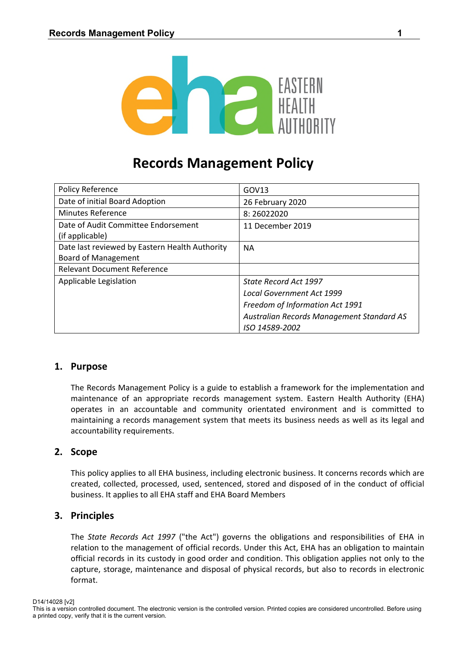

# **Records Management Policy**

| Policy Reference                               | GOV13                                     |
|------------------------------------------------|-------------------------------------------|
| Date of initial Board Adoption                 | 26 February 2020                          |
| <b>Minutes Reference</b>                       | 8:26022020                                |
| Date of Audit Committee Endorsement            | 11 December 2019                          |
| (if applicable)                                |                                           |
| Date last reviewed by Eastern Health Authority | <b>NA</b>                                 |
| <b>Board of Management</b>                     |                                           |
| <b>Relevant Document Reference</b>             |                                           |
| Applicable Legislation                         | State Record Act 1997                     |
|                                                | <b>Local Government Act 1999</b>          |
|                                                | Freedom of Information Act 1991           |
|                                                | Australian Records Management Standard AS |
|                                                | ISO 14589-2002                            |

## **1. Purpose**

The Records Management Policy is a guide to establish a framework for the implementation and maintenance of an appropriate records management system. Eastern Health Authority (EHA) operates in an accountable and community orientated environment and is committed to maintaining a records management system that meets its business needs as well as its legal and accountability requirements.

## **2. Scope**

This policy applies to all EHA business, including electronic business. It concerns records which are created, collected, processed, used, sentenced, stored and disposed of in the conduct of official business. It applies to all EHA staff and EHA Board Members

#### **3. Principles**

The *State Records Act 1997* ("the Act") governs the obligations and responsibilities of EHA in relation to the management of official records. Under this Act, EHA has an obligation to maintain official records in its custody in good order and condition. This obligation applies not only to the capture, storage, maintenance and disposal of physical records, but also to records in electronic format.

D14/14028 [v2]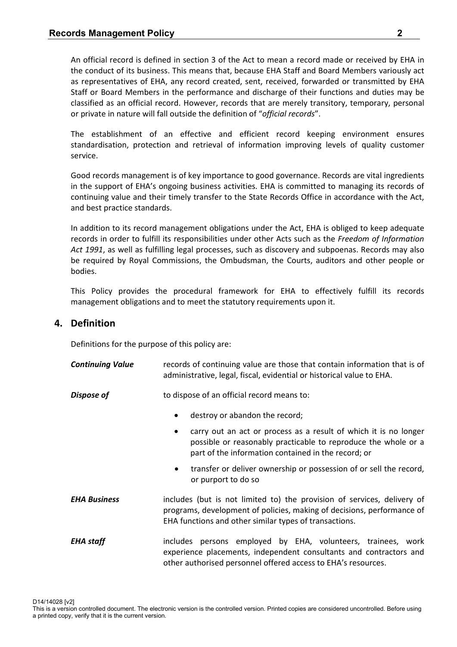An official record is defined in section 3 of the Act to mean a record made or received by EHA in the conduct of its business. This means that, because EHA Staff and Board Members variously act as representatives of EHA, any record created, sent, received, forwarded or transmitted by EHA Staff or Board Members in the performance and discharge of their functions and duties may be classified as an official record. However, records that are merely transitory, temporary, personal or private in nature will fall outside the definition of "*official records*".

 The establishment of an effective and efficient record keeping environment ensures standardisation, protection and retrieval of information improving levels of quality customer service.

 Good records management is of key importance to good governance. Records are vital ingredients in the support of EHA's ongoing business activities. EHA is committed to managing its records of continuing value and their timely transfer to the State Records Office in accordance with the Act, and best practice standards.

 In addition to its record management obligations under the Act, EHA is obliged to keep adequate records in order to fulfill its responsibilities under other Acts such as the *Freedom of Information Act 1991*, as well as fulfilling legal processes, such as discovery and subpoenas. Records may also be required by Royal Commissions, the Ombudsman, the Courts, auditors and other people or bodies.

 This Policy provides the procedural framework for EHA to effectively fulfill its records management obligations and to meet the statutory requirements upon it.

## **4. Definition**

Definitions for the purpose of this policy are:

| <b>Continuing Value</b> | records of continuing value are those that contain information that is of<br>administrative, legal, fiscal, evidential or historical value to EHA.                                                          |  |
|-------------------------|-------------------------------------------------------------------------------------------------------------------------------------------------------------------------------------------------------------|--|
| Dispose of              | to dispose of an official record means to:                                                                                                                                                                  |  |
|                         | destroy or abandon the record;<br>$\bullet$                                                                                                                                                                 |  |
|                         | carry out an act or process as a result of which it is no longer<br>٠<br>possible or reasonably practicable to reproduce the whole or a<br>part of the information contained in the record; or              |  |
|                         | transfer or deliver ownership or possession of or sell the record,<br>$\bullet$<br>or purport to do so                                                                                                      |  |
| <b>EHA Business</b>     | includes (but is not limited to) the provision of services, delivery of<br>programs, development of policies, making of decisions, performance of<br>EHA functions and other similar types of transactions. |  |
| <b>EHA</b> staff        | includes persons employed by EHA, volunteers, trainees, work<br>experience placements, independent consultants and contractors and<br>other authorised personnel offered access to EHA's resources.         |  |

D14/14028 [v2] This is a version controlled document. The electronic version is the controlled version. Printed copies are considered uncontrolled. Before using a printed copy, verify that it is the current version.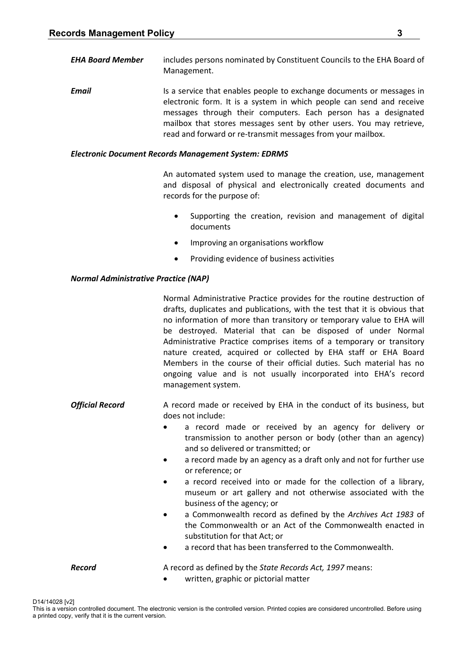*EHA Board Member* includes persons nominated by Constituent Councils to the EHA Board of Management.

**Email Is a service that enables people to exchange documents or messages in** electronic form. It is a system in which people can send and receive messages through their computers. Each person has a designated mailbox that stores messages sent by other users. You may retrieve, read and forward or re-transmit messages from your mailbox.

#### *Electronic Document Records Management System: EDRMS*

An automated system used to manage the creation, use, management and disposal of physical and electronically created documents and records for the purpose of:

- Supporting the creation, revision and management of digital documents
- Improving an organisations workflow
- Providing evidence of business activities

#### *Normal Administrative Practice (NAP)*

*Official Record* A record made or received by EHA in the conduct of its business, but does not include:

- a record made or received by an agency for delivery or transmission to another person or body (other than an agency) and so delivered or transmitted; or
- a record made by an agency as a draft only and not for further use or reference; or
- a record received into or made for the collection of a library, museum or art gallery and not otherwise associated with the business of the agency; or
- a Commonwealth record as defined by the *Archives Act 1983* of the Commonwealth or an Act of the Commonwealth enacted in substitution for that Act; or
- a record that has been transferred to the Commonwealth.

**Record A** record as defined by the *State Records Act, 1997* means:

written, graphic or pictorial matter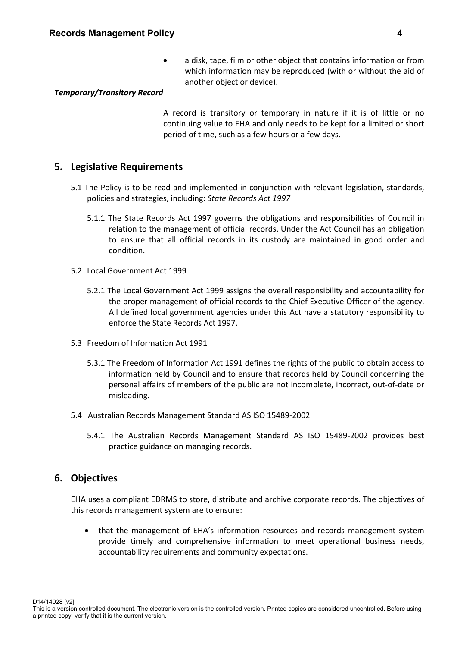a disk, tape, film or other object that contains information or from which information may be reproduced (with or without the aid of another object or device).

#### *Temporary/Transitory Record*

A record is transitory or temporary in nature if it is of little or no continuing value to EHA and only needs to be kept for a limited or short period of time, such as a few hours or a few days.

#### **5. Legislative Requirements**

- 5.1 The Policy is to be read and implemented in conjunction with relevant legislation, standards, policies and strategies, including: *State Records Act 1997*
	- 5.1.1 The State Records Act 1997 governs the obligations and responsibilities of Council in relation to the management of official records. Under the Act Council has an obligation to ensure that all official records in its custody are maintained in good order and condition.
- 5.2 Local Government Act 1999
	- 5.2.1 The Local Government Act 1999 assigns the overall responsibility and accountability for the proper management of official records to the Chief Executive Officer of the agency. All defined local government agencies under this Act have a statutory responsibility to enforce the State Records Act 1997.
- 5.3 Freedom of Information Act 1991
	- 5.3.1 The Freedom of Information Act 1991 defines the rights of the public to obtain access to information held by Council and to ensure that records held by Council concerning the personal affairs of members of the public are not incomplete, incorrect, out-of-date or misleading.
- 5.4 Australian Records Management Standard AS ISO 15489-2002
	- 5.4.1 The Australian Records Management Standard AS ISO 15489-2002 provides best practice guidance on managing records.

#### **6. Objectives**

EHA uses a compliant EDRMS to store, distribute and archive corporate records. The objectives of this records management system are to ensure:

 that the management of EHA's information resources and records management system provide timely and comprehensive information to meet operational business needs, accountability requirements and community expectations.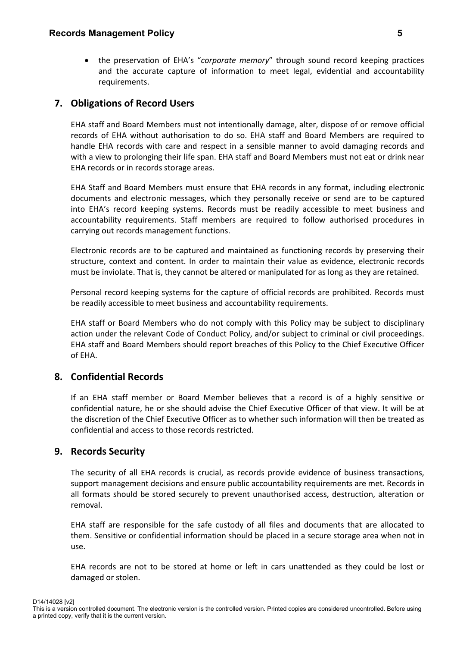the preservation of EHA's "*corporate memory*" through sound record keeping practices and the accurate capture of information to meet legal, evidential and accountability requirements.

## **7. Obligations of Record Users**

EHA staff and Board Members must not intentionally damage, alter, dispose of or remove official records of EHA without authorisation to do so. EHA staff and Board Members are required to handle EHA records with care and respect in a sensible manner to avoid damaging records and with a view to prolonging their life span. EHA staff and Board Members must not eat or drink near EHA records or in records storage areas.

EHA Staff and Board Members must ensure that EHA records in any format, including electronic documents and electronic messages, which they personally receive or send are to be captured into EHA's record keeping systems. Records must be readily accessible to meet business and accountability requirements. Staff members are required to follow authorised procedures in carrying out records management functions.

Electronic records are to be captured and maintained as functioning records by preserving their structure, context and content. In order to maintain their value as evidence, electronic records must be inviolate. That is, they cannot be altered or manipulated for as long as they are retained.

Personal record keeping systems for the capture of official records are prohibited. Records must be readily accessible to meet business and accountability requirements.

EHA staff or Board Members who do not comply with this Policy may be subject to disciplinary action under the relevant Code of Conduct Policy, and/or subject to criminal or civil proceedings. EHA staff and Board Members should report breaches of this Policy to the Chief Executive Officer of EHA.

## **8. Confidential Records**

If an EHA staff member or Board Member believes that a record is of a highly sensitive or confidential nature, he or she should advise the Chief Executive Officer of that view. It will be at the discretion of the Chief Executive Officer as to whether such information will then be treated as confidential and access to those records restricted.

## **9. Records Security**

The security of all EHA records is crucial, as records provide evidence of business transactions, support management decisions and ensure public accountability requirements are met. Records in all formats should be stored securely to prevent unauthorised access, destruction, alteration or removal.

EHA staff are responsible for the safe custody of all files and documents that are allocated to them. Sensitive or confidential information should be placed in a secure storage area when not in use.

EHA records are not to be stored at home or left in cars unattended as they could be lost or damaged or stolen.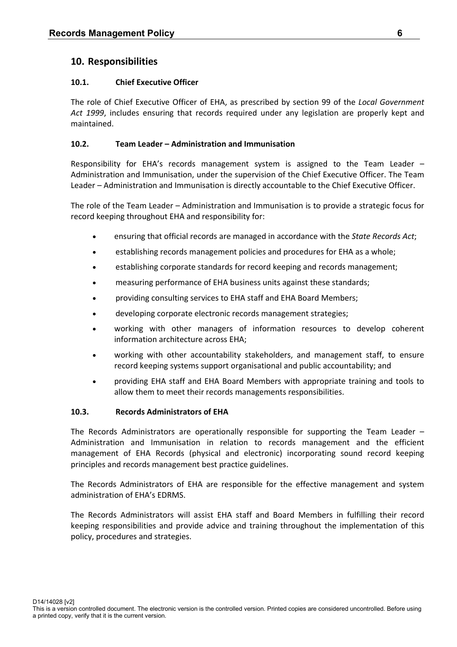## **10. Responsibilities**

#### **10.1. Chief Executive Officer**

The role of Chief Executive Officer of EHA, as prescribed by section 99 of the *Local Government Act 1999*, includes ensuring that records required under any legislation are properly kept and maintained.

## **10.2. Team Leader – Administration and Immunisation**

Responsibility for EHA's records management system is assigned to the Team Leader – Administration and Immunisation, under the supervision of the Chief Executive Officer. The Team Leader – Administration and Immunisation is directly accountable to the Chief Executive Officer.

The role of the Team Leader – Administration and Immunisation is to provide a strategic focus for record keeping throughout EHA and responsibility for:

- ensuring that official records are managed in accordance with the *State Records Act*;
- establishing records management policies and procedures for EHA as a whole;
- establishing corporate standards for record keeping and records management;
- measuring performance of EHA business units against these standards;
- providing consulting services to EHA staff and EHA Board Members;
- developing corporate electronic records management strategies;
- working with other managers of information resources to develop coherent information architecture across EHA;
- working with other accountability stakeholders, and management staff, to ensure record keeping systems support organisational and public accountability; and
- providing EHA staff and EHA Board Members with appropriate training and tools to allow them to meet their records managements responsibilities.

#### **10.3. Records Administrators of EHA**

The Records Administrators are operationally responsible for supporting the Team Leader – Administration and Immunisation in relation to records management and the efficient management of EHA Records (physical and electronic) incorporating sound record keeping principles and records management best practice guidelines.

The Records Administrators of EHA are responsible for the effective management and system administration of EHA's EDRMS.

The Records Administrators will assist EHA staff and Board Members in fulfilling their record keeping responsibilities and provide advice and training throughout the implementation of this policy, procedures and strategies.